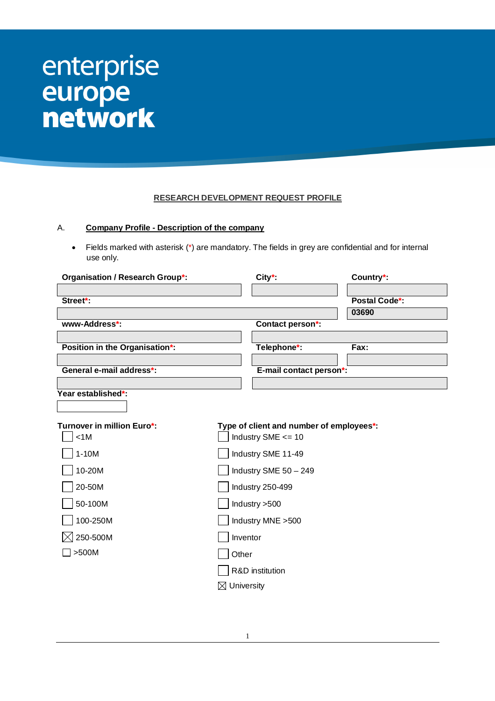# enterprise europe<br>network

## **RESEARCH DEVELOPMENT REQUEST PROFILE**

## A. **Company Profile - Description of the company**

 Fields marked with asterisk (\*) are mandatory. The fields in grey are confidential and for internal use only.

| <b>Organisation / Research Group*:</b> |                        | $City^*$                                 | Country*:            |
|----------------------------------------|------------------------|------------------------------------------|----------------------|
|                                        |                        |                                          |                      |
| Street*:                               |                        |                                          | <b>Postal Code*:</b> |
|                                        |                        |                                          | 03690                |
| www-Address*:                          |                        | Contact person*:                         |                      |
|                                        |                        |                                          |                      |
| Position in the Organisation*:         |                        | Telephone*:                              | Fax:                 |
| General e-mail address*:               |                        | E-mail contact person*:                  |                      |
|                                        |                        |                                          |                      |
| Year established*:                     |                        |                                          |                      |
|                                        |                        |                                          |                      |
|                                        |                        |                                          |                      |
| Turnover in million Euro*:             |                        | Type of client and number of employees*: |                      |
| < 1M                                   |                        | Industry SME <= 10                       |                      |
| $1-10M$                                |                        | Industry SME 11-49                       |                      |
| 10-20M                                 |                        | Industry SME 50 - 249                    |                      |
| 20-50M                                 |                        | Industry 250-499                         |                      |
| 50-100M                                |                        | Industry >500                            |                      |
| 100-250M                               |                        | Industry MNE > 500                       |                      |
| 250-500M                               | Inventor               |                                          |                      |
| >500M                                  | Other                  |                                          |                      |
|                                        |                        | R&D institution                          |                      |
|                                        | $\boxtimes$ University |                                          |                      |
|                                        |                        |                                          |                      |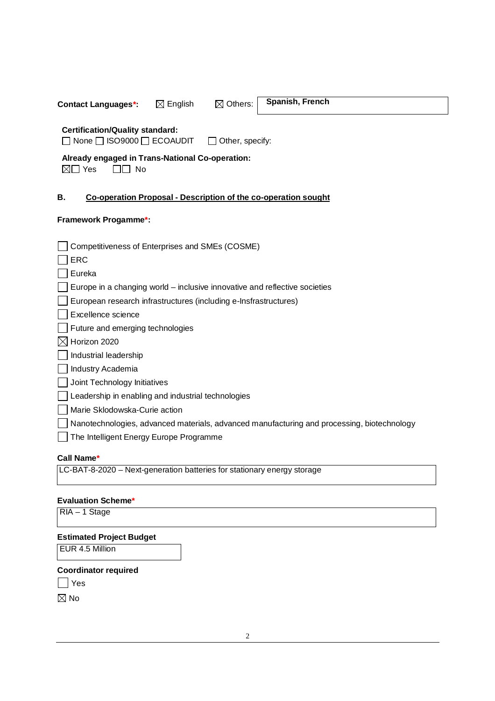**Contact Languages\*:**  $\qquad \qquad \boxtimes$  English  $\qquad \qquad \boxtimes$  Others: Spanish, French

# **Certification/Quality standard:**

□ None □ ISO9000 □ ECOAUDIT □ Other, specify:

# **Already engaged in Trans-National Co-operation:**

⊠□ Yes □□ No

# **B. Co-operation Proposal - Description of the co-operation sought**

## **Framework Progamme\*:**

| Competitiveness of Enterprises and SMEs (COSME)                                            |
|--------------------------------------------------------------------------------------------|
| <b>ERC</b>                                                                                 |
| Eureka                                                                                     |
| Europe in a changing world – inclusive innovative and reflective societies                 |
| European research infrastructures (including e-Insfrastructures)                           |
| Excellence science                                                                         |
| Future and emerging technologies                                                           |
| Horizon 2020                                                                               |
| Industrial leadership                                                                      |
| Industry Academia                                                                          |
| Joint Technology Initiatives                                                               |
| Leadership in enabling and industrial technologies                                         |
| Marie Sklodowska-Curie action                                                              |
| Nanotechnologies, advanced materials, advanced manufacturing and processing, biotechnology |
| The Intelligent Energy Europe Programme                                                    |
| Call Name*                                                                                 |
| LC-BAT-8-2020 – Next-generation batteries for stationary energy storage                    |

## **Evaluation Scheme\***

RIA – 1 Stage

# **Estimated Project Budget**

EUR 4.5 Million

## **Coordinator required**

|--|--|

 $\boxtimes$  No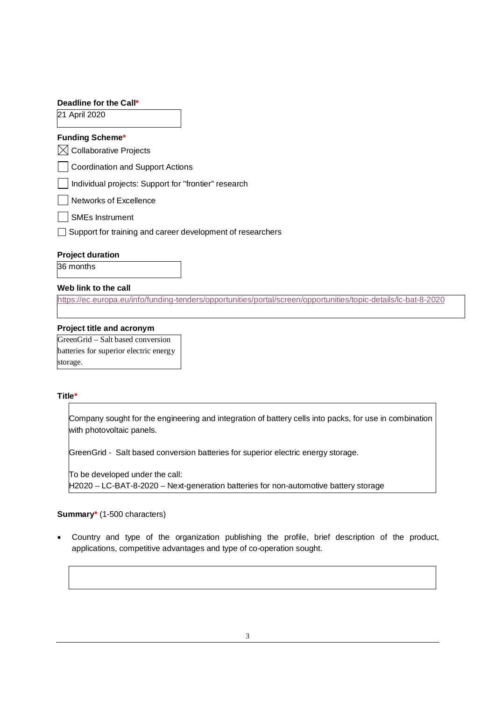| Deadline for the Call*                                     |
|------------------------------------------------------------|
| 21 April 2020                                              |
| <b>Funding Scheme*</b>                                     |
| <b>Collaborative Projects</b>                              |
| <b>Coordination and Support Actions</b>                    |
| Individual projects: Support for "frontier" research       |
| Networks of Excellence                                     |
| <b>SMEs Instrument</b>                                     |
| Support for training and career development of researchers |
| <b>Project duration</b>                                    |

36 months

## **Web link to the call**

<https://ec.europa.eu/info/funding-tenders/opportunities/portal/screen/opportunities/topic-details/lc-bat-8-2020>

#### **Project title and acronym**

GreenGrid – Salt based conversion batteries for superior electric energy storage.

#### **Title\***

Company sought for the engineering and integration of battery cells into packs, for use in combination with photovoltaic panels.

GreenGrid - Salt based conversion batteries for superior electric energy storage.

To be developed under the call: H2020 – LC-BAT-8-2020 – Next-generation batteries for non-automotive battery storage

#### **Summary\*** (1-500 characters)

 Country and type of the organization publishing the profile, brief description of the product, applications, competitive advantages and type of co-operation sought.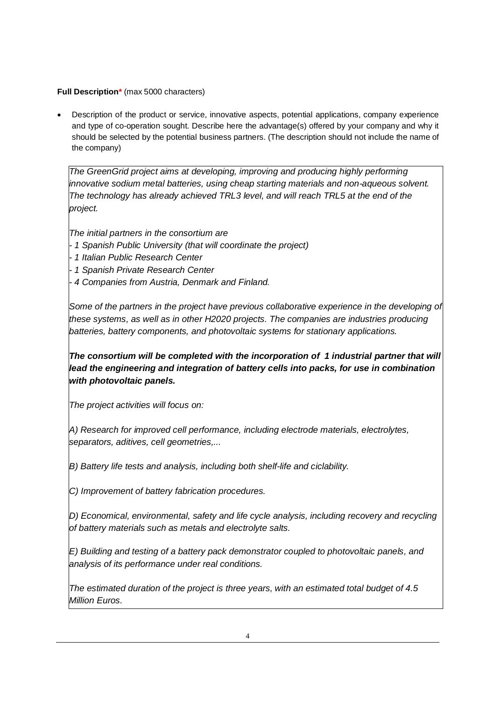# **Full Description\*** (max 5000 characters)

 Description of the product or service, innovative aspects, potential applications, company experience and type of co-operation sought. Describe here the advantage(s) offered by your company and why it should be selected by the potential business partners. (The description should not include the name of the company)

*The GreenGrid project aims at developing, improving and producing highly performing innovative sodium metal batteries, using cheap starting materials and non-aqueous solvent. The technology has already achieved TRL3 level, and will reach TRL5 at the end of the project.* 

*The initial partners in the consortium are*

- *- 1 Spanish Public University (that will coordinate the project)*
- *- 1 Italian Public Research Center*
- *- 1 Spanish Private Research Center*
- *- 4 Companies from Austria, Denmark and Finland.*

*Some of the partners in the project have previous collaborative experience in the developing of these systems, as well as in other H2020 projects. The companies are industries producing batteries, battery components, and photovoltaic systems for stationary applications.*

*The consortium will be completed with the incorporation of 1 industrial partner that will*  lead the engineering and integration of battery cells into packs, for use in combination *with photovoltaic panels.*

*The project activities will focus on:*

*A) Research for improved cell performance, including electrode materials, electrolytes, separators, aditives, cell geometries,...*

*B) Battery life tests and analysis, including both shelf-life and ciclability.*

*C) Improvement of battery fabrication procedures.*

*D) Economical, environmental, safety and life cycle analysis, including recovery and recycling of battery materials such as metals and electrolyte salts.*

*E) Building and testing of a battery pack demonstrator coupled to photovoltaic panels, and analysis of its performance under real conditions.*

*The estimated duration of the project is three years, with an estimated total budget of 4.5 Million Euros.*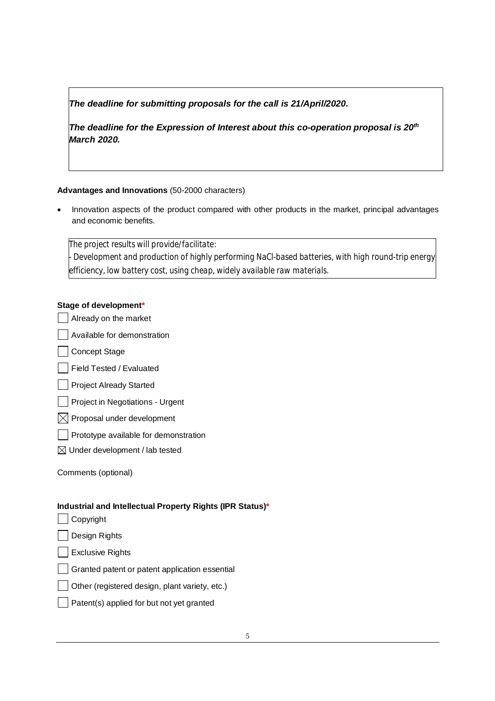# *The deadline for submitting proposals for the call is 21/April/2020.*

*The deadline for the Expression of Interest about this co-operation proposal is 20th March 2020.*

# **Advantages and Innovations** (50-2000 characters)

 Innovation aspects of the product compared with other products in the market, principal advantages and economic benefits.

*The project results will provide/facilitate: - Development and production of highly performing NaCl-based batteries, with high round-trip energy efficiency, low battery cost, using cheap, widely available raw materials.*

# **Stage of development\***

| Already on the market                                     |
|-----------------------------------------------------------|
| Available for demonstration                               |
| <b>Concept Stage</b>                                      |
| Field Tested / Evaluated                                  |
| <b>Project Already Started</b>                            |
| Project in Negotiations - Urgent                          |
| Proposal under development                                |
| Prototype available for demonstration                     |
| $\boxtimes$ Under development / lab tested                |
| Comments (optional)                                       |
| Industrial and Intellectual Property Rights (IPR Status)* |
| Copyright                                                 |
| Design Rights                                             |

**Exclusive Rights** 

Granted patent or patent application essential

- Other (registered design, plant variety, etc.)
- Patent(s) applied for but not yet granted $\mathbf{I}$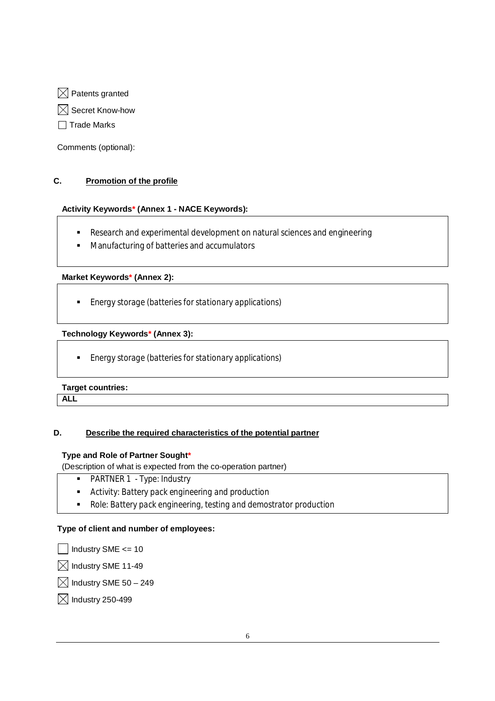$\boxtimes$  Patents granted

 $\boxtimes$  Secret Know-how

 $\Box$  Trade Marks

Comments (optional):

# **C. Promotion of the profile**

# **Activity Keywords\* (Annex 1 - NACE Keywords):**

- Research and experimental development on natural sciences and engineering
- Manufacturing of batteries and accumulators

# **Market Keywords\* (Annex 2):**

*Energy storage (batteries for stationary applications)*

# **Technology Keywords\* (Annex 3):**

*Energy storage (batteries for stationary applications)*

# **Target countries:**

**ALL** 

# **D. Describe the required characteristics of the potential partner**

# **Type and Role of Partner Sought\***

(Description of what is expected from the co-operation partner)

- *PARTNER 1 - Type: Industry*
- *Activity: Battery pack engineering and production*
- *Role: Battery pack engineering, testing and demostrator production*

# **Type of client and number of employees:**

 $|$  Industry SME  $\leq$  = 10

 $\boxtimes$  Industry SME 11-49

 $\boxtimes$  Industry SME 50 - 249

 $\boxtimes$  Industry 250-499